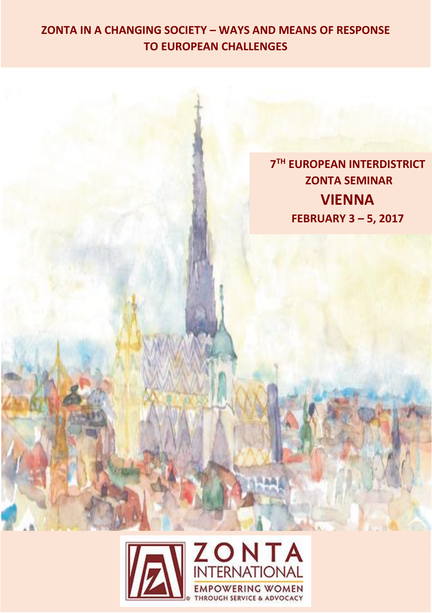## **ZONTA IN A CHANGING SOCIETY – WAYS AND MEANS OF RESPONSE TO EUROPEAN CHALLENGES**

**7 TH EUROPEAN INTERDISTRICT ZONTA SEMINAR VIENNA FEBRUARY 3 – 5, 2017**

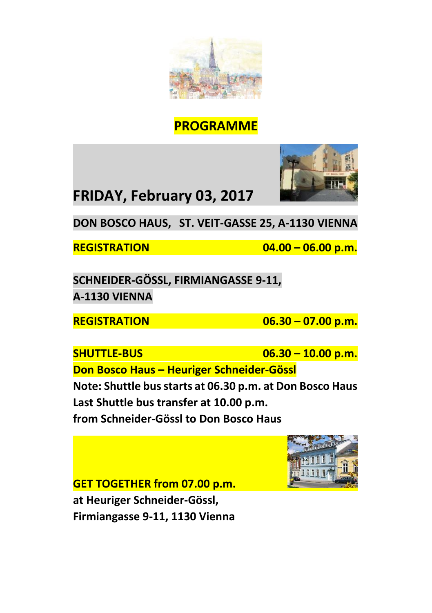

# **PROGRAMME**



**FRIDAY, February 03, 2017**

**DON BOSCO HAUS, ST. VEIT-GASSE 25, A-1130 VIENNA**

**REGISTRATION 04.00 – 06.00 p.m.**

**SCHNEIDER-GÖSSL, FIRMIANGASSE 9-11, A-1130 VIENNA**

**REGISTRATION 06.30 – 07.00 p.m.**

**SHUTTLE-BUS 06.30 – 10.00 p.m.** 

**Don Bosco Haus – Heuriger Schneider-Gössl**

**Note: Shuttle bus starts at 06.30 p.m. at Don Bosco Haus Last Shuttle bus transfer at 10.00 p.m.** 

**from Schneider-Gössl to Don Bosco Haus**

**GET TOGETHER from 07.00 p.m. at Heuriger Schneider-Gössl, Firmiangasse 9-11, 1130 Vienna**

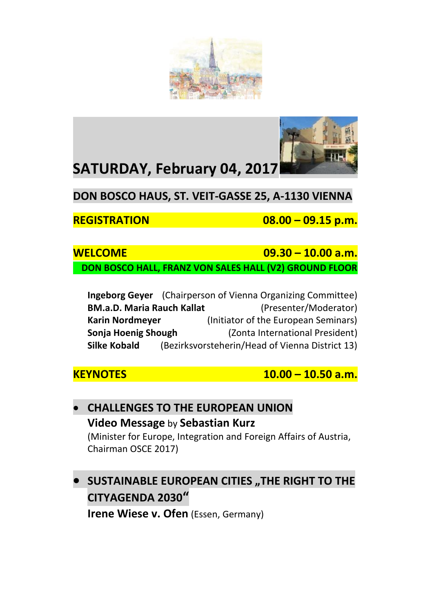



# **SATURDAY, February 04, 2017**

**DON BOSCO HAUS, ST. VEIT-GASSE 25, A-1130 VIENNA**

**REGISTRATION 08.00 – 09.15 p.m.**

### **WELCOME 09.30 – 10.00 a.m. DON BOSCO HALL, FRANZ VON SALES HALL (V2) GROUND FLOOR**

|                                   | Ingeborg Geyer (Chairperson of Vienna Organizing Committee) |
|-----------------------------------|-------------------------------------------------------------|
| <b>BM.a.D. Maria Rauch Kallat</b> | (Presenter/Moderator)                                       |
| <b>Karin Nordmeyer</b>            | (Initiator of the European Seminars)                        |
| Sonja Hoenig Shough               | (Zonta International President)                             |
| Silke Kobald                      | (Bezirksvorsteherin/Head of Vienna District 13)             |

**KEYNOTES 10.00 – 10.50 a.m.**

### **CHALLENGES TO THE EUROPEAN UNION Video Message** by **Sebastian Kurz** (Minister for Europe, Integration and Foreign Affairs of Austria, Chairman OSCE 2017)

## $\bullet$  **SUSTAINABLE EUROPEAN CITIES "THE RIGHT TO THE CITYAGENDA 2030" Irene Wiese v. Ofen** (Essen, Germany)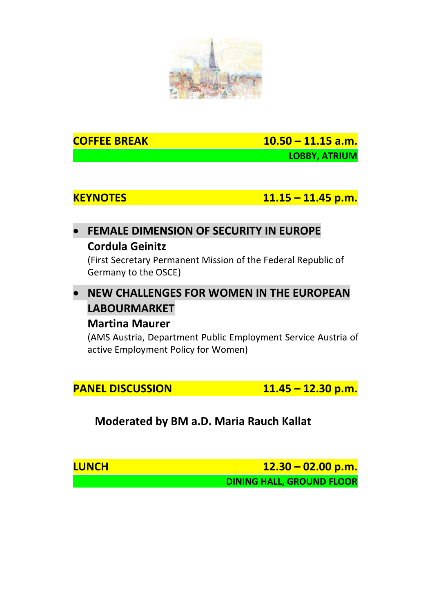

**COFFEE BREAK 10.50 – 11.15 a.m. LOBBY, ATRIUM**

**KEYNOTES 11.15 – 11.45 p.m.**

### **FEMALE DIMENSION OF SECURITY IN EUROPE Cordula Geinitz**

(First Secretary Permanent Mission of the Federal Republic of Germany to the OSCE)

# **NEW CHALLENGES FOR WOMEN IN THE EUROPEAN LABOURMARKET**

### **Martina Maurer**

(AMS Austria, Department Public Employment Service Austria of active Employment Policy for Women)

**PANEL DISCUSSION 11.45 – 12.30 p.m.**

**Moderated by BM a.D. Maria Rauch Kallat**

**LUNCH 12.30 – 02.00 p.m. DINING HALL, GROUND FLOOR**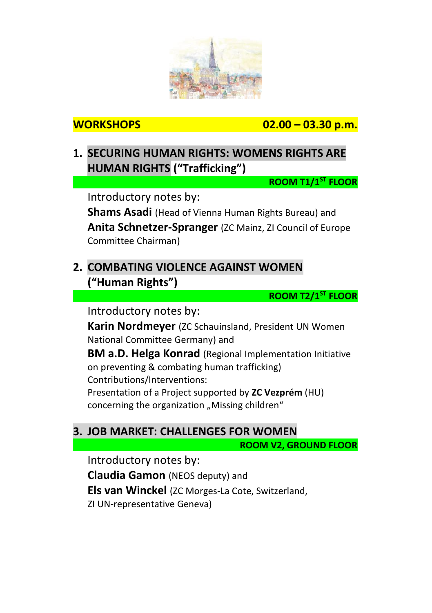

**WORKSHOPS 02.00 – 03.30 p.m.**

## **1. SECURING HUMAN RIGHTS: WOMENS RIGHTS ARE HUMAN RIGHTS ("Trafficking")**

**ROOM T1/1 ST FLOOR**

Introductory notes by:

**Shams Asadi** (Head of Vienna Human Rights Bureau) and **Anita Schnetzer-Spranger** (ZC Mainz, ZI Council of Europe Committee Chairman)

## **2. COMBATING VIOLENCE AGAINST WOMEN ("Human Rights")**

**ROOM T2/1ST FLOOR**

Introductory notes by:

**Karin Nordmeyer** (ZC Schauinsland, President UN Women National Committee Germany) and

**BM a.D. Helga Konrad** (Regional Implementation Initiative on preventing & combating human trafficking) Contributions/Interventions: Presentation of a Project supported by **ZC Vezprém** (HU)

concerning the organization "Missing children"

### **3. JOB MARKET: CHALLENGES FOR WOMEN**

**ROOM V2, GROUND FLOOR**

Introductory notes by: **Claudia Gamon** (NEOS deputy) and **Els van Winckel** (ZC Morges-La Cote, Switzerland, ZI UN-representative Geneva)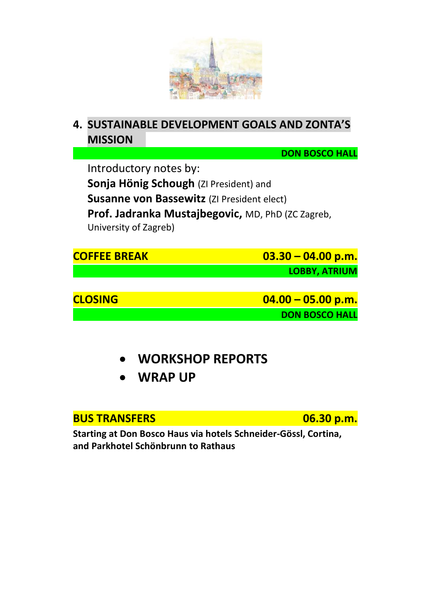

## **4. SUSTAINABLE DEVELOPMENT GOALS AND ZONTA'S MISSION**

**DON BOSCO HALL**

Introductory notes by: **Sonja Hönig Schough** (ZI President) and **Susanne von Bassewitz** (ZI President elect) **Prof. Jadranka Mustajbegovic,** MD, PhD (ZC Zagreb, University of Zagreb)

| <b>COFFEE BREAK</b> | $03.30 - 04.00 p.m.$  |
|---------------------|-----------------------|
|                     | <b>LOBBY, ATRIUM</b>  |
|                     |                       |
| <b>CLOSING</b>      | $04.00 - 05.00 p.m.$  |
|                     | <b>DON BOSCO HALL</b> |
|                     |                       |

- **WORKSHOP REPORTS**
- **WRAP UP**

### **BUS TRANSFERS 06.30 p.m.**

**Starting at Don Bosco Haus via hotels Schneider-Gössl, Cortina, and Parkhotel Schönbrunn to Rathaus**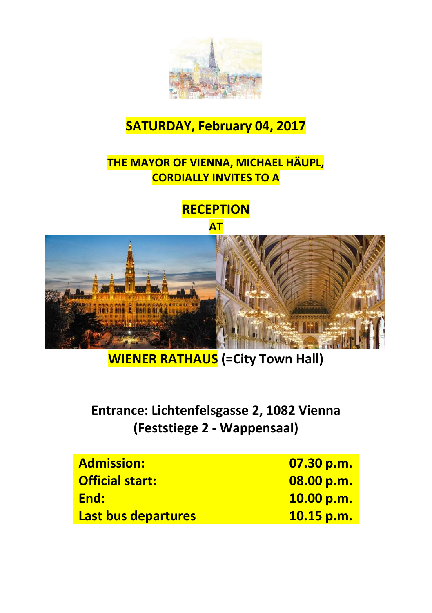

# **SATURDAY, February 04, 2017**

## **THE MAYOR OF VIENNA, MICHAEL HÄUPL, CORDIALLY INVITES TO A**

# **RECEPTION**





**WIENER RATHAUS (=City Town Hall)**

# **Entrance: Lichtenfelsgasse 2, 1082 Vienna (Feststiege 2 - Wappensaal)**

| <b>Admission:</b>      | 07.30 p.m. |
|------------------------|------------|
| <b>Official start:</b> | 08.00 p.m. |
| End:                   | 10.00 p.m. |
| Last bus departures    | 10.15 p.m. |